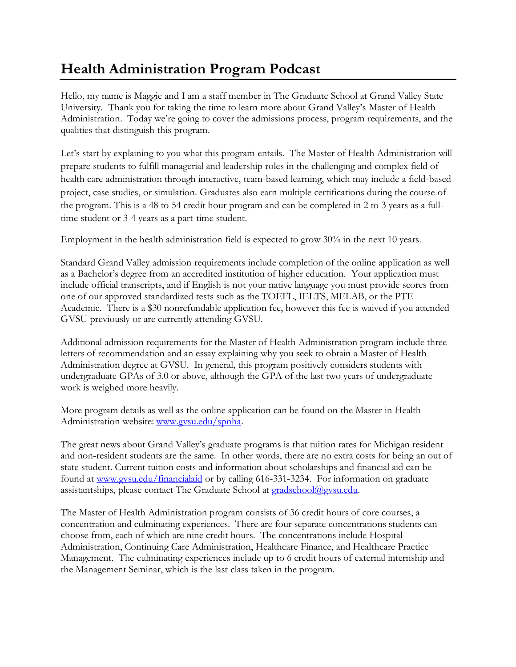## **Health Administration Program Podcast**

Hello, my name is Maggie and I am a staff member in The Graduate School at Grand Valley State University. Thank you for taking the time to learn more about Grand Valley's Master of Health Administration. Today we're going to cover the admissions process, program requirements, and the qualities that distinguish this program.

Let's start by explaining to you what this program entails. The Master of Health Administration will prepare students to fulfill managerial and leadership roles in the challenging and complex field of health care administration through interactive, team-based learning, which may include a field-based project, case studies, or simulation. Graduates also earn multiple certifications during the course of the program. This is a 48 to 54 credit hour program and can be completed in 2 to 3 years as a fulltime student or 3-4 years as a part-time student.

Employment in the health administration field is expected to grow 30% in the next 10 years.

Standard Grand Valley admission requirements include completion of the online application as well as a Bachelor's degree from an accredited institution of higher education. Your application must include official transcripts, and if English is not your native language you must provide scores from one of our approved standardized tests such as the TOEFL, IELTS, MELAB, or the PTE Academic. There is a \$30 nonrefundable application fee, however this fee is waived if you attended GVSU previously or are currently attending GVSU.

Additional admission requirements for the Master of Health Administration program include three letters of recommendation and an essay explaining why you seek to obtain a Master of Health Administration degree at GVSU. In general, this program positively considers students with undergraduate GPAs of 3.0 or above, although the GPA of the last two years of undergraduate work is weighed more heavily.

More program details as well as the online application can be found on the Master in Health Administration website: [www.gvsu.edu/spnha.](http://www.gvsu.edu/spnha)

The great news about Grand Valley's graduate programs is that tuition rates for Michigan resident and non-resident students are the same. In other words, there are no extra costs for being an out of state student. Current tuition costs and information about scholarships and financial aid can be found at [www.gvsu.edu/financialaid](http://www.gvsu.edu/financialaid) or by calling 616-331-3234. For information on graduate assistantships, please contact The Graduate School at [gradschool@gvsu.edu.](mailto:gradschool@gvsu.edu)

The Master of Health Administration program consists of 36 credit hours of core courses, a concentration and culminating experiences. There are four separate concentrations students can choose from, each of which are nine credit hours. The concentrations include Hospital Administration, Continuing Care Administration, Healthcare Finance, and Healthcare Practice Management. The culminating experiences include up to 6 credit hours of external internship and the Management Seminar, which is the last class taken in the program.